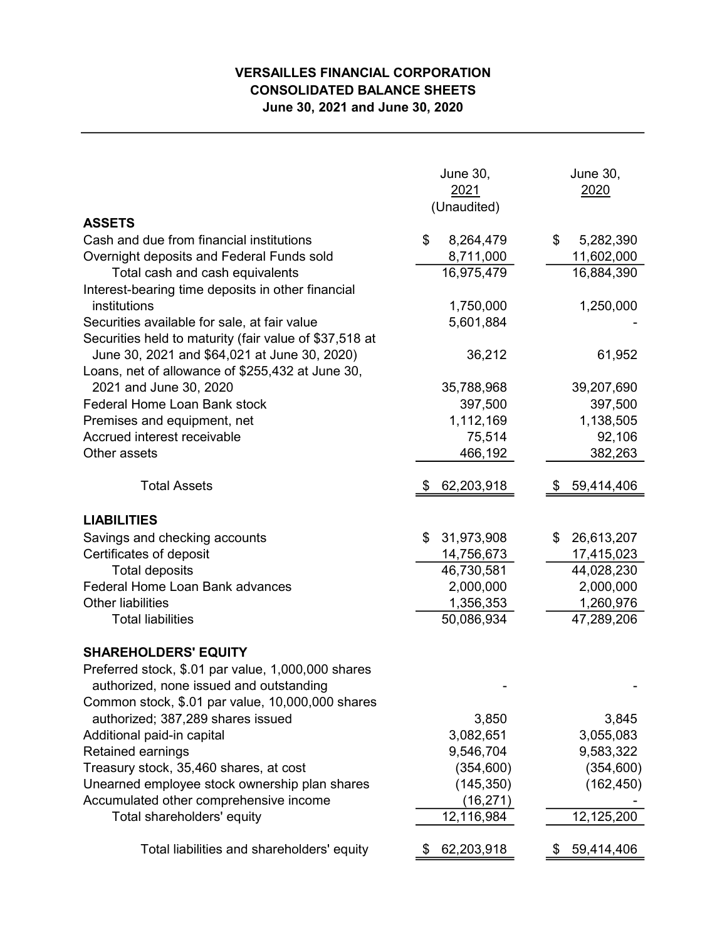## VERSAILLES FINANCIAL CORPORATION CONSOLIDATED BALANCE SHEETS June 30, 2021 and June 30, 2020

| <b>ASSETS</b>                                          | June 30,<br>2021<br>(Unaudited) | <b>June 30,</b><br>2020 |
|--------------------------------------------------------|---------------------------------|-------------------------|
| Cash and due from financial institutions               | \$<br>8,264,479                 | \$<br>5,282,390         |
| Overnight deposits and Federal Funds sold              | 8,711,000                       | 11,602,000              |
| Total cash and cash equivalents                        | 16,975,479                      | 16,884,390              |
| Interest-bearing time deposits in other financial      |                                 |                         |
| institutions                                           | 1,750,000                       | 1,250,000               |
| Securities available for sale, at fair value           | 5,601,884                       |                         |
| Securities held to maturity (fair value of \$37,518 at |                                 |                         |
| June 30, 2021 and \$64,021 at June 30, 2020)           | 36,212                          | 61,952                  |
| Loans, net of allowance of \$255,432 at June 30,       |                                 |                         |
| 2021 and June 30, 2020                                 | 35,788,968                      | 39,207,690              |
| <b>Federal Home Loan Bank stock</b>                    | 397,500                         | 397,500                 |
| Premises and equipment, net                            | 1,112,169                       | 1,138,505               |
| Accrued interest receivable                            | 75,514                          | 92,106                  |
| Other assets                                           | 466,192                         | 382,263                 |
|                                                        |                                 |                         |
| <b>Total Assets</b>                                    | 62,203,918                      | 59,414,406              |
| <b>LIABILITIES</b>                                     |                                 |                         |
| Savings and checking accounts                          | 31,973,908<br>\$                | 26,613,207<br>\$        |
| Certificates of deposit                                | 14,756,673                      | 17,415,023              |
| <b>Total deposits</b>                                  | 46,730,581                      | 44,028,230              |
| Federal Home Loan Bank advances                        | 2,000,000                       | 2,000,000               |
| <b>Other liabilities</b>                               | 1,356,353                       | 1,260,976               |
| <b>Total liabilities</b>                               | 50,086,934                      | 47,289,206              |
| <b>SHAREHOLDERS' EQUITY</b>                            |                                 |                         |
| Preferred stock, \$.01 par value, 1,000,000 shares     |                                 |                         |
| authorized, none issued and outstanding                |                                 |                         |
| Common stock, \$.01 par value, 10,000,000 shares       |                                 |                         |
| authorized; 387,289 shares issued                      | 3,850                           | 3,845                   |
| Additional paid-in capital                             | 3,082,651                       | 3,055,083               |
| Retained earnings                                      | 9,546,704                       | 9,583,322               |
| Treasury stock, 35,460 shares, at cost                 | (354, 600)                      | (354, 600)              |
| Unearned employee stock ownership plan shares          | (145, 350)                      | (162, 450)              |
| Accumulated other comprehensive income                 | (16, 271)                       |                         |
| Total shareholders' equity                             | 12,116,984                      | 12,125,200              |
| Total liabilities and shareholders' equity             | 62,203,918                      | 59,414,406              |